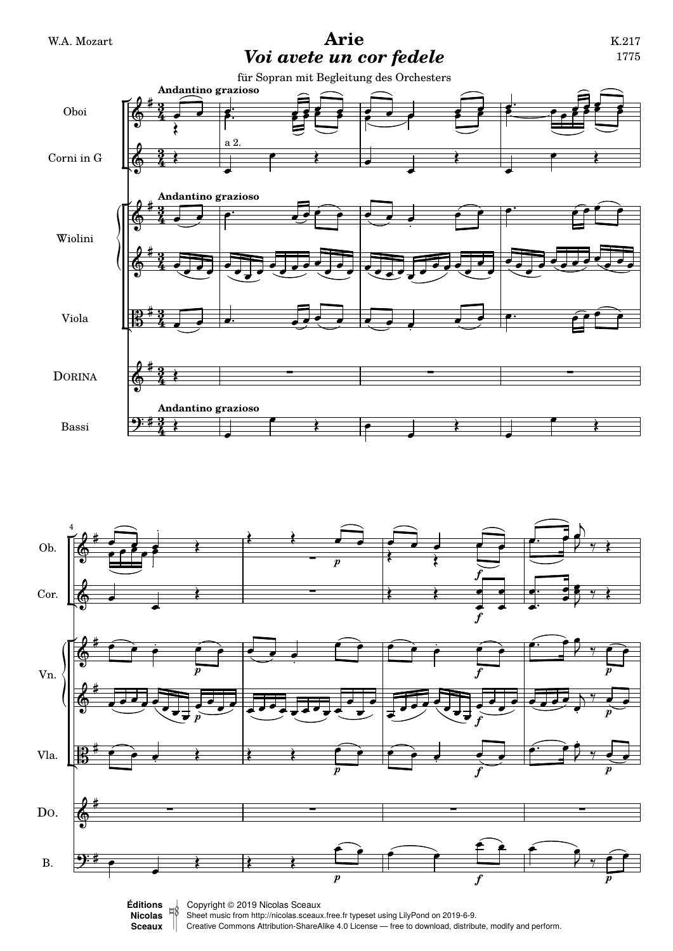



Sheet music from<http://nicolas.sceaux.free.fr> typeset using [LilyPond](http://lilypond.org) on 2019-6-9.

Creative Commons Attribution-ShareAlike 4.0 License — free to download, distribute, modify and perform. **[Sceaux](http://nicolas.sceaux.free.fr)ǀ**  $\mathbb{I}$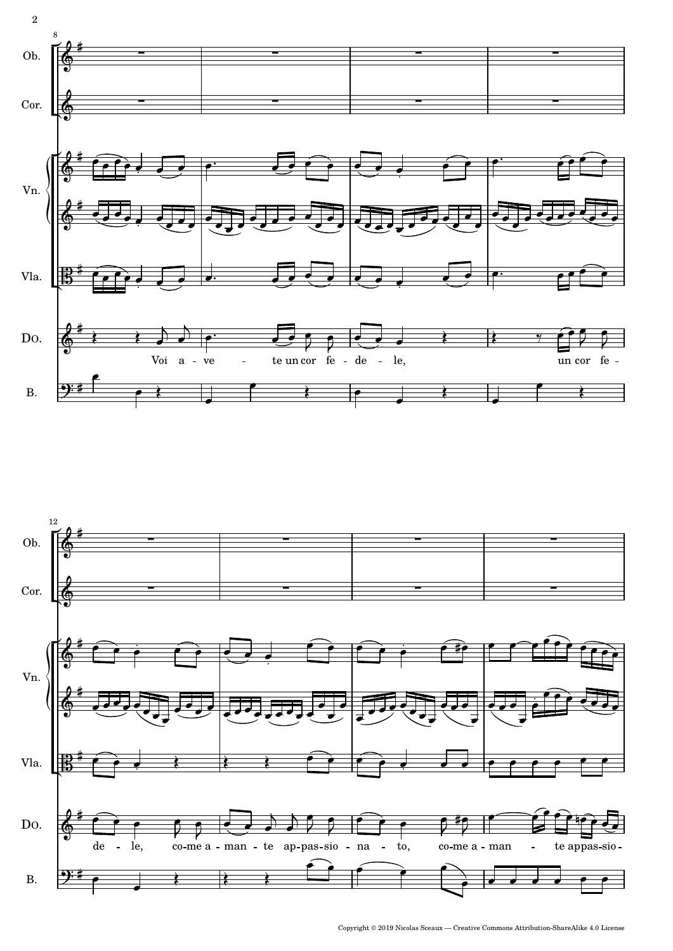

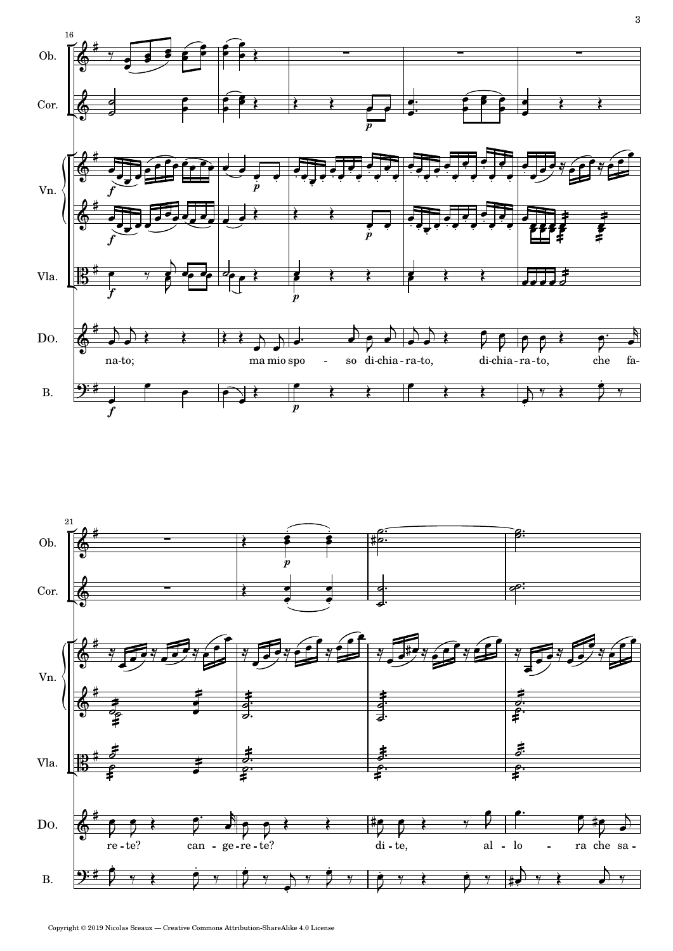

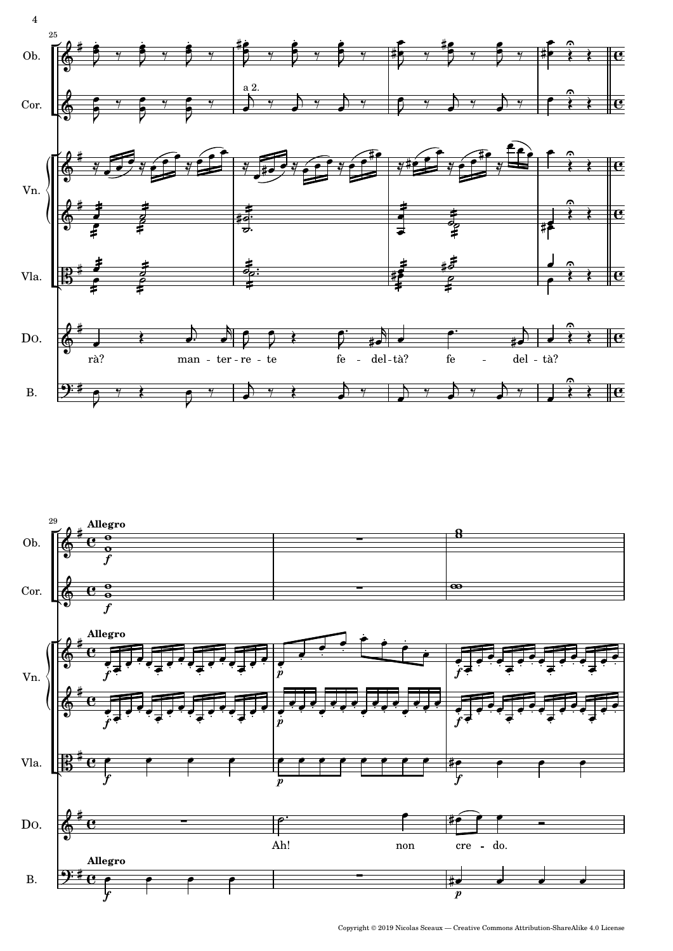

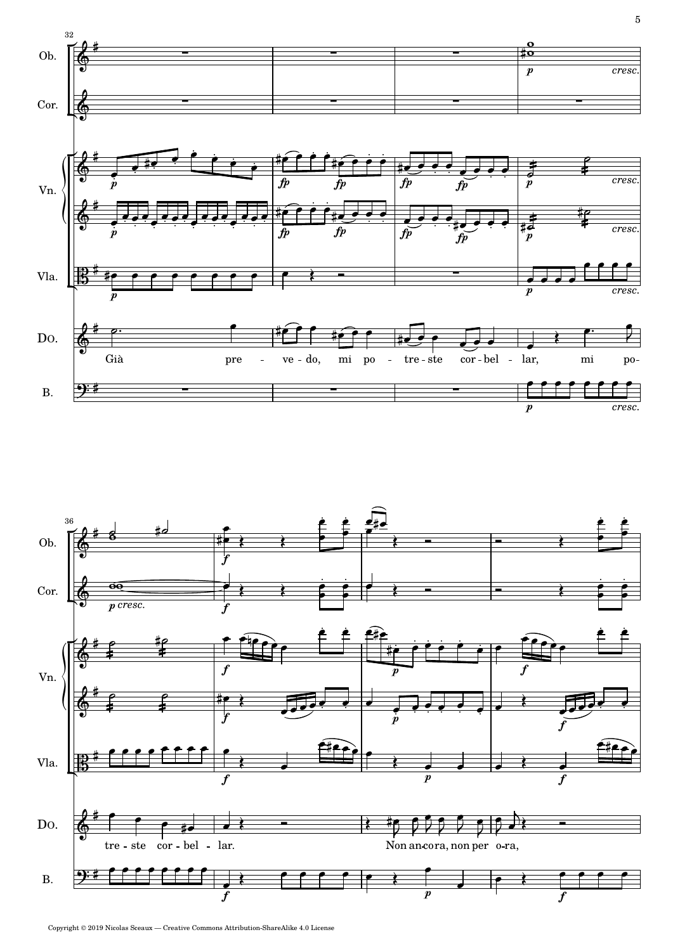

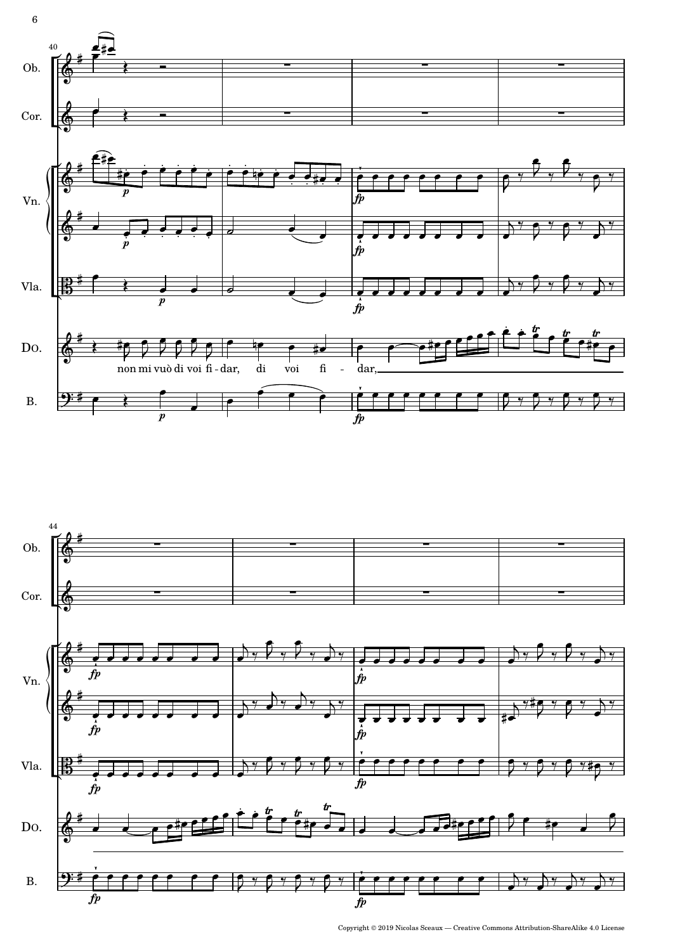

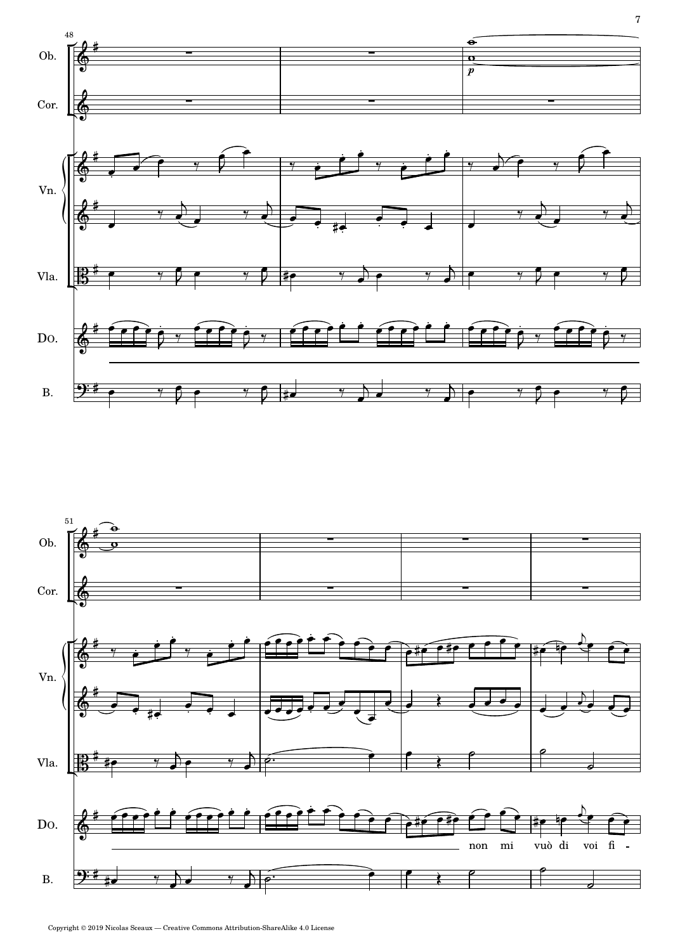

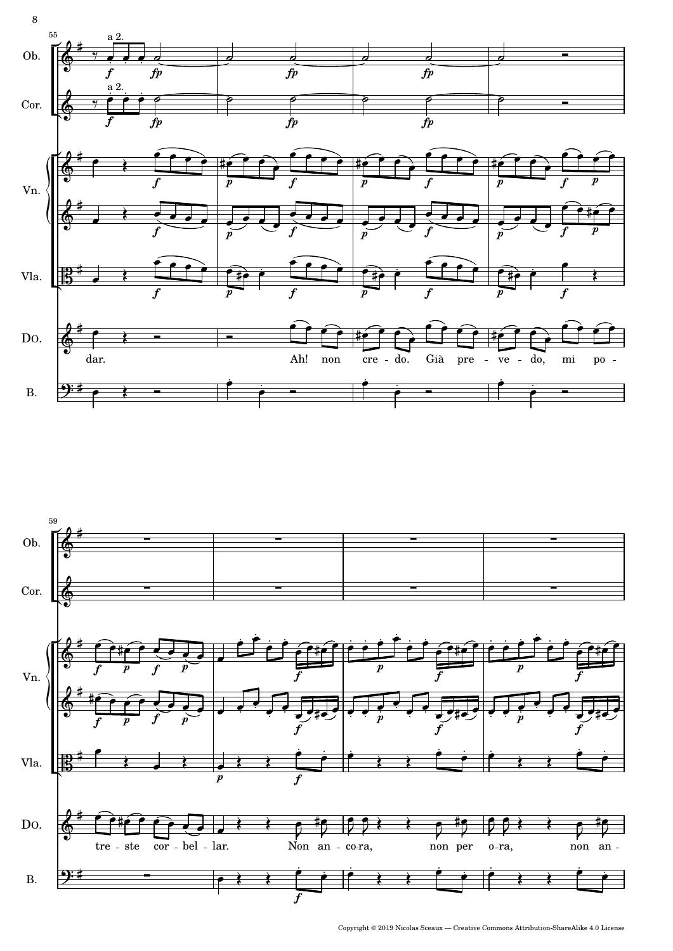

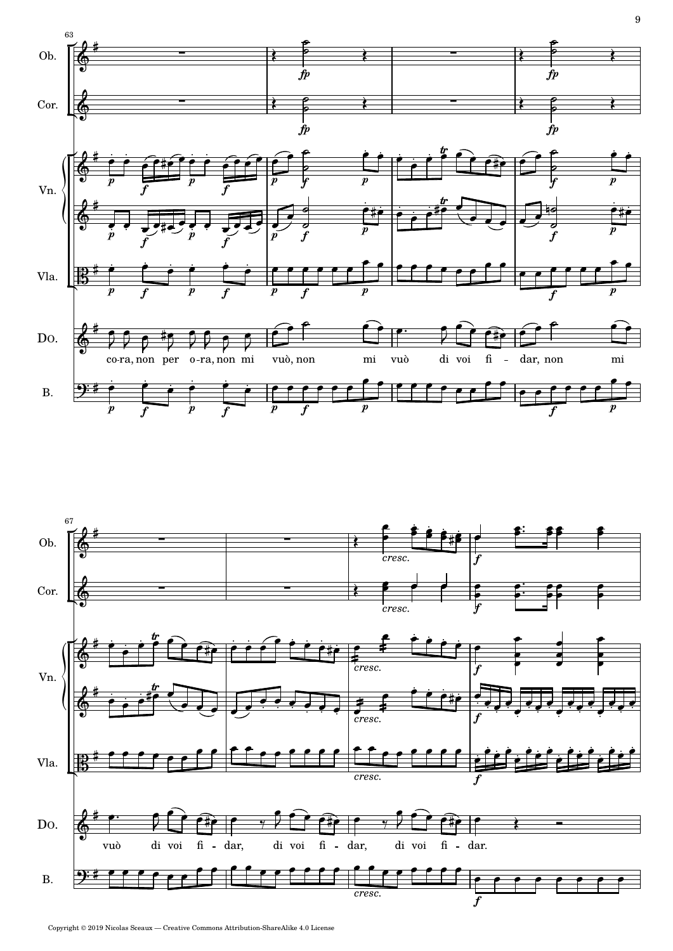

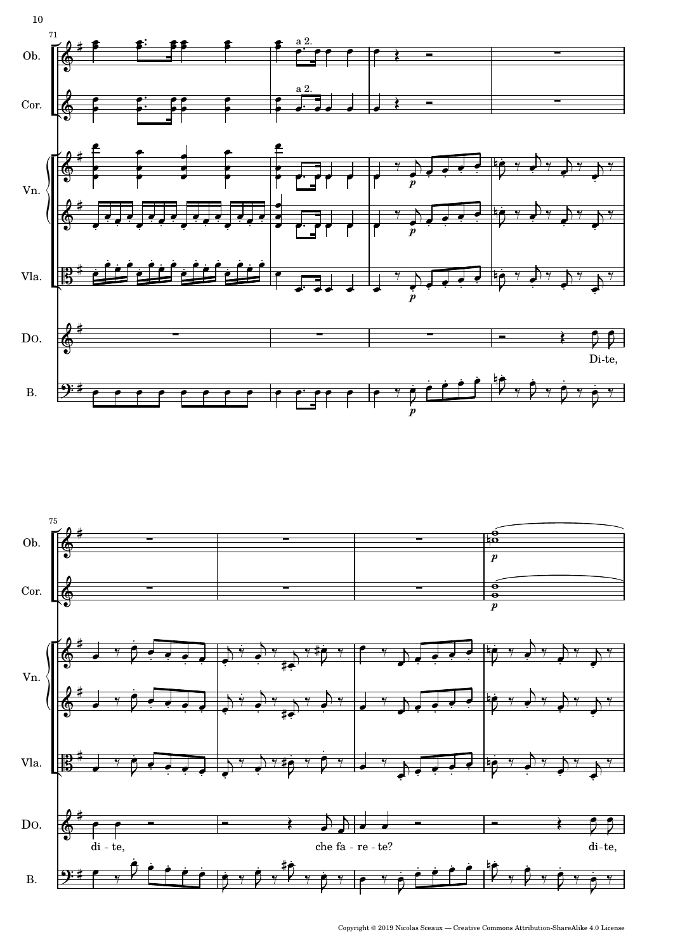

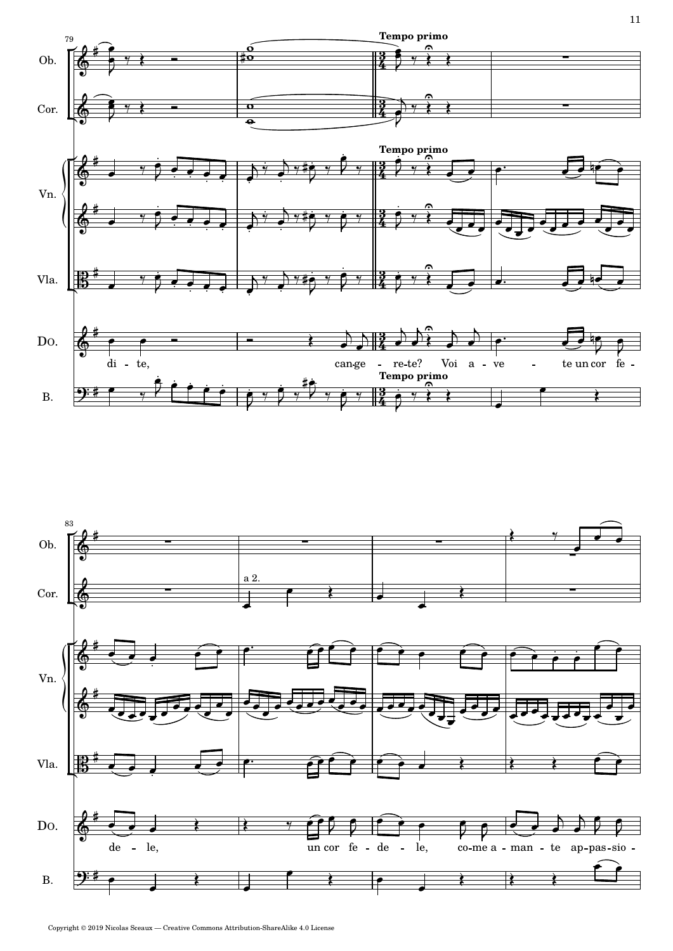

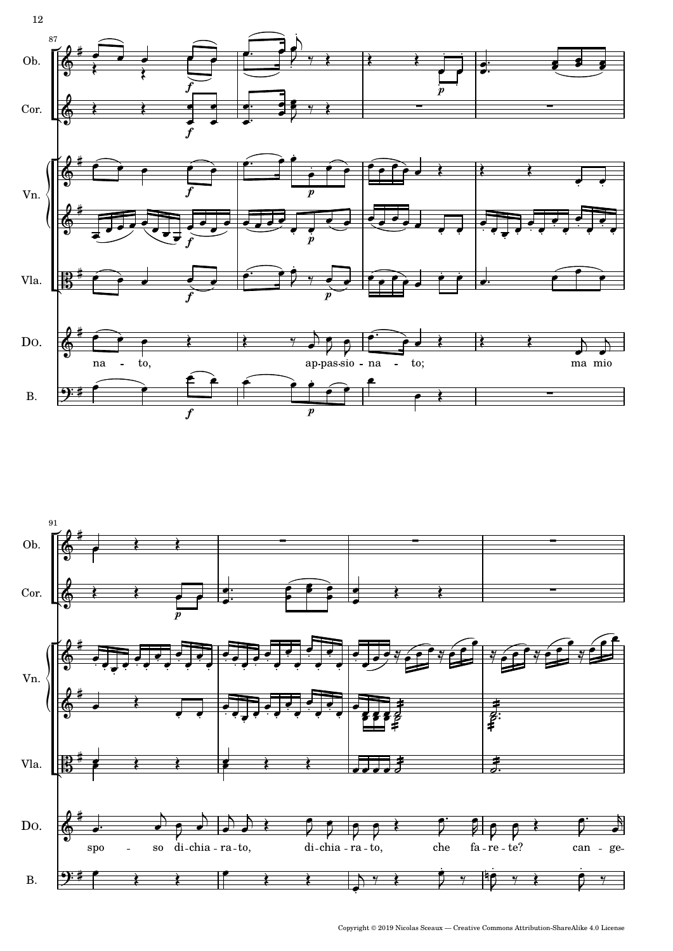

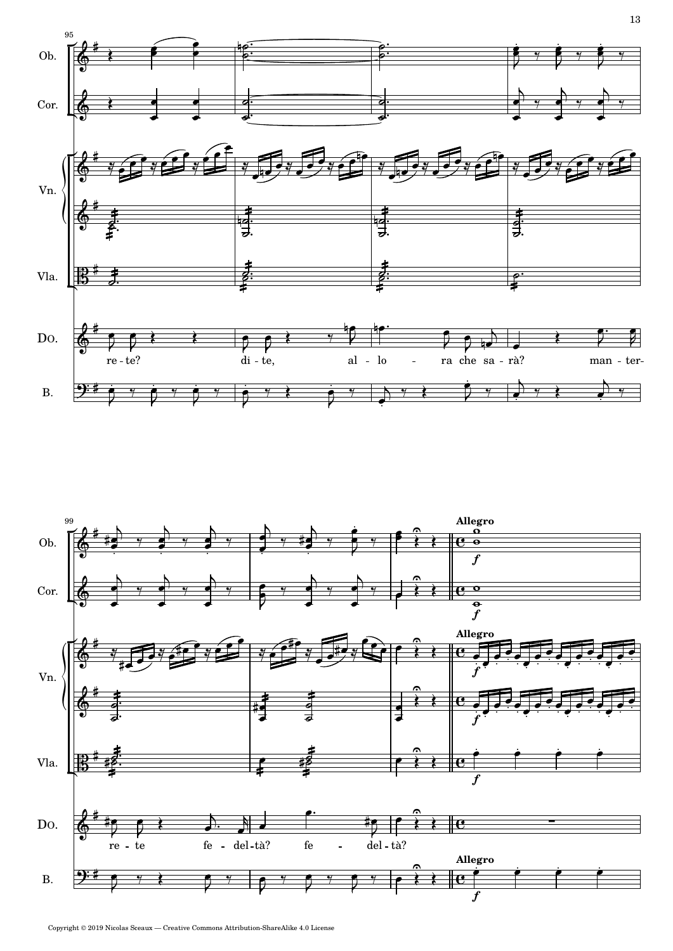



Copyright © 2019 Nicolas Sceaux — Creative Commons Attribution-ShareAlike 4.0 License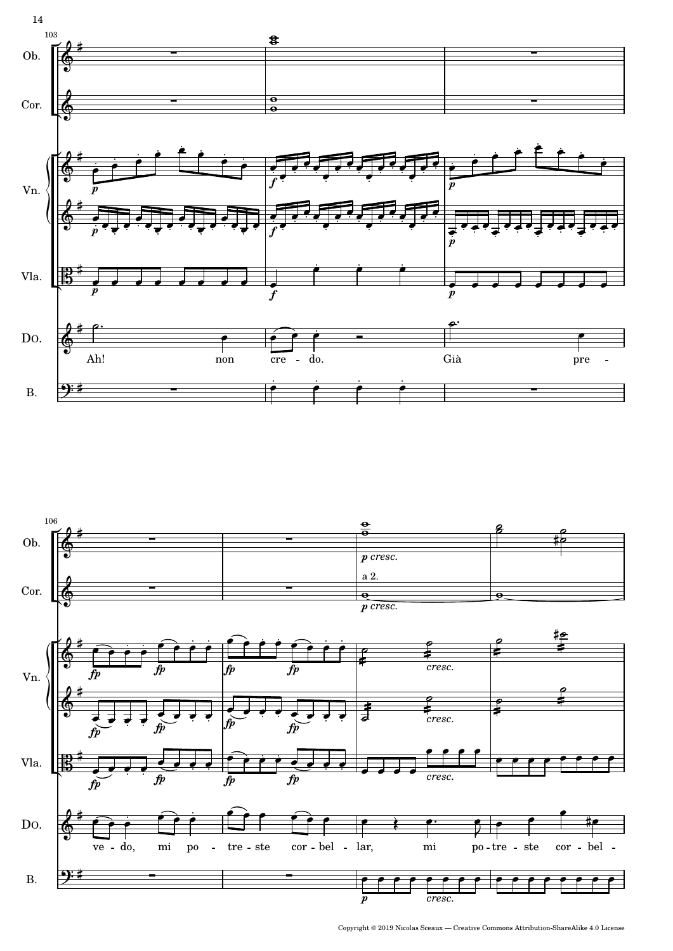

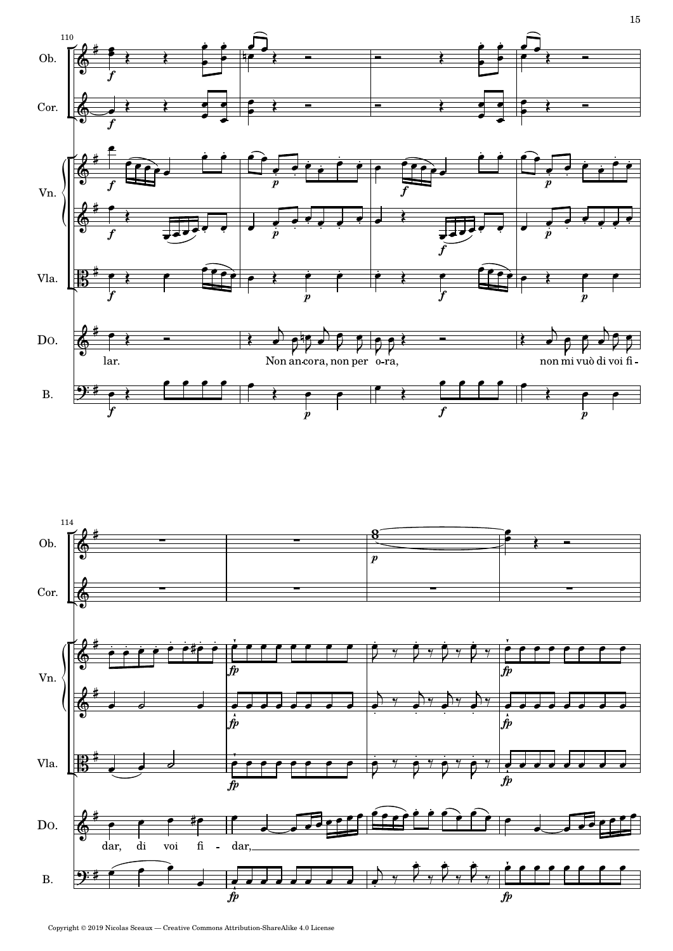

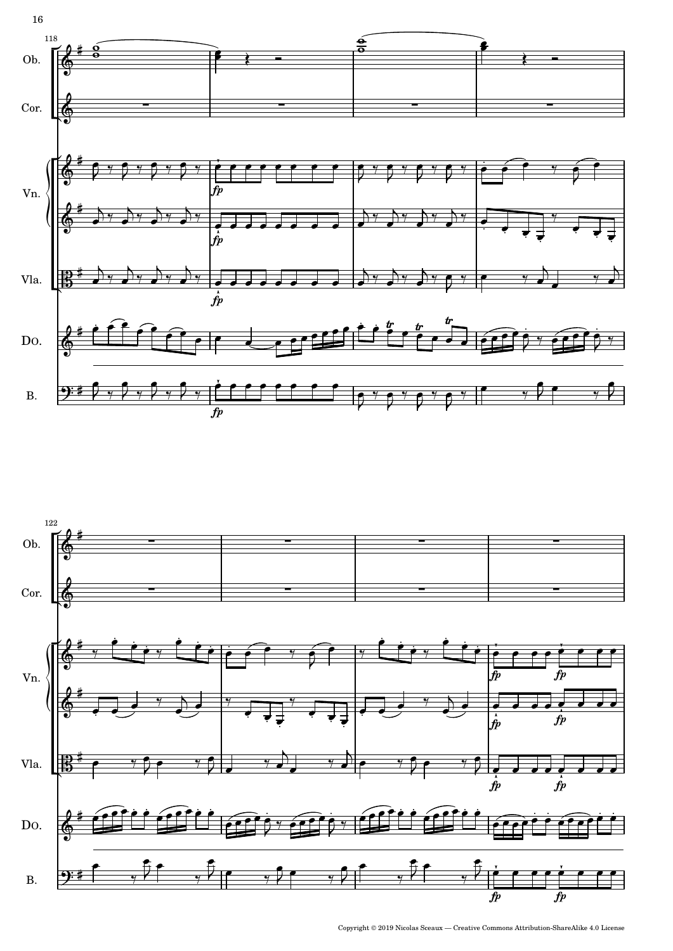

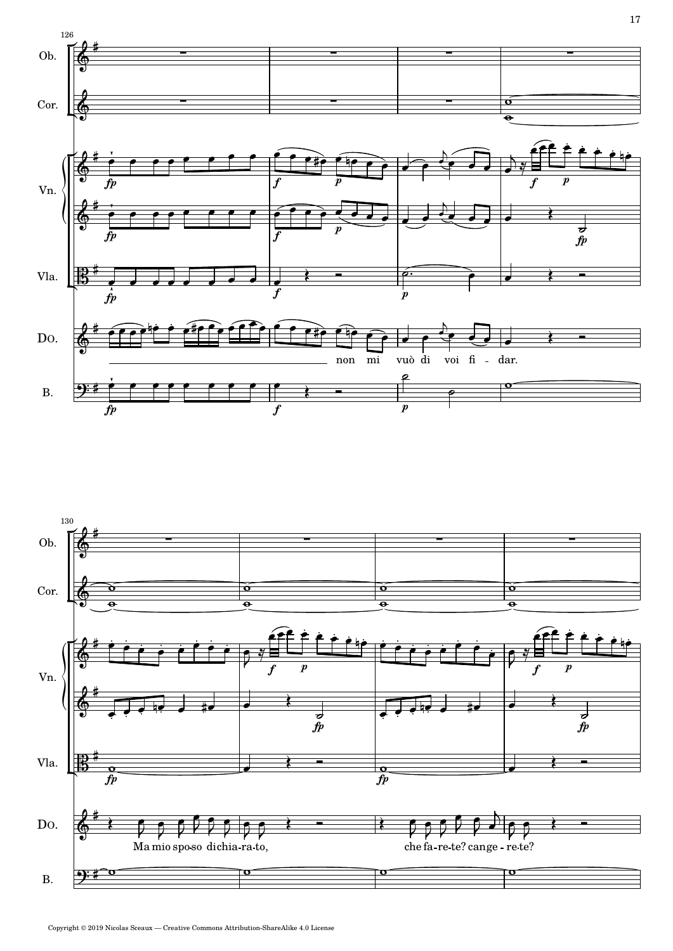

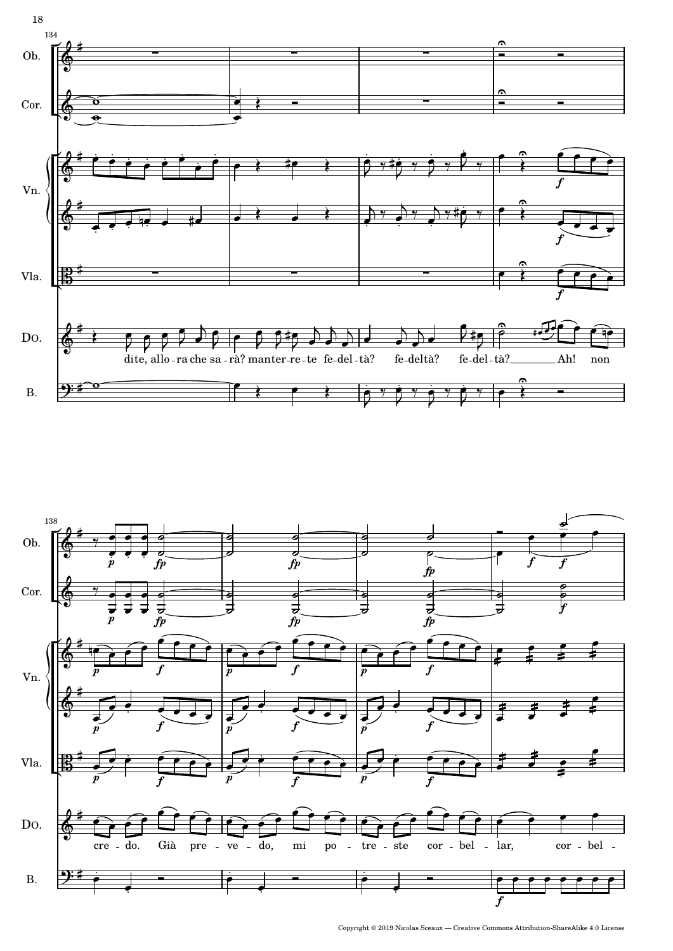

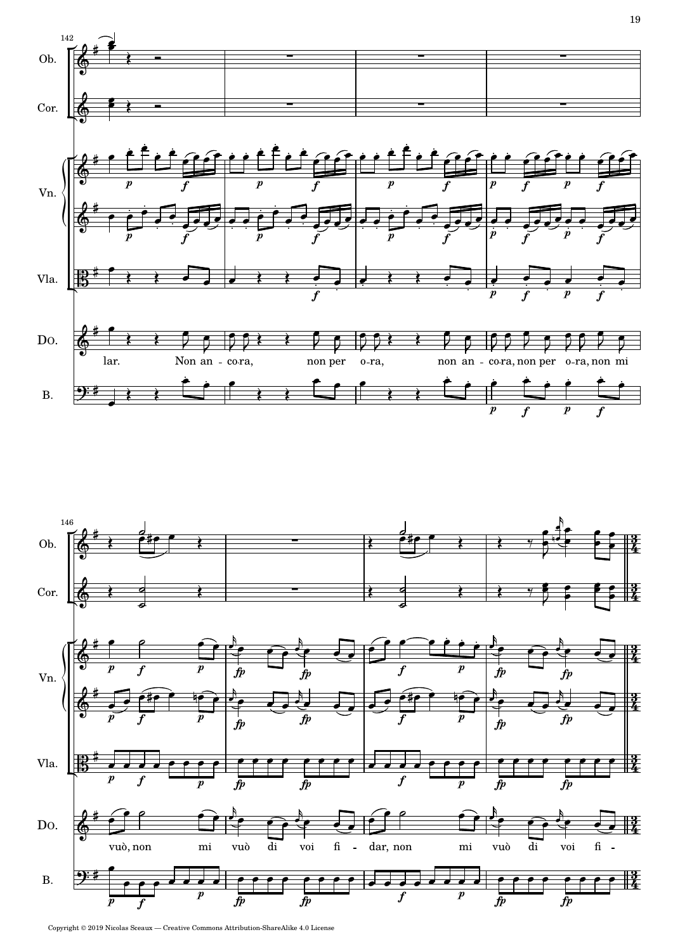



Copyright © 2019 Nicolas Sceaux — Creative Commons Attribution-ShareAlike 4.0 License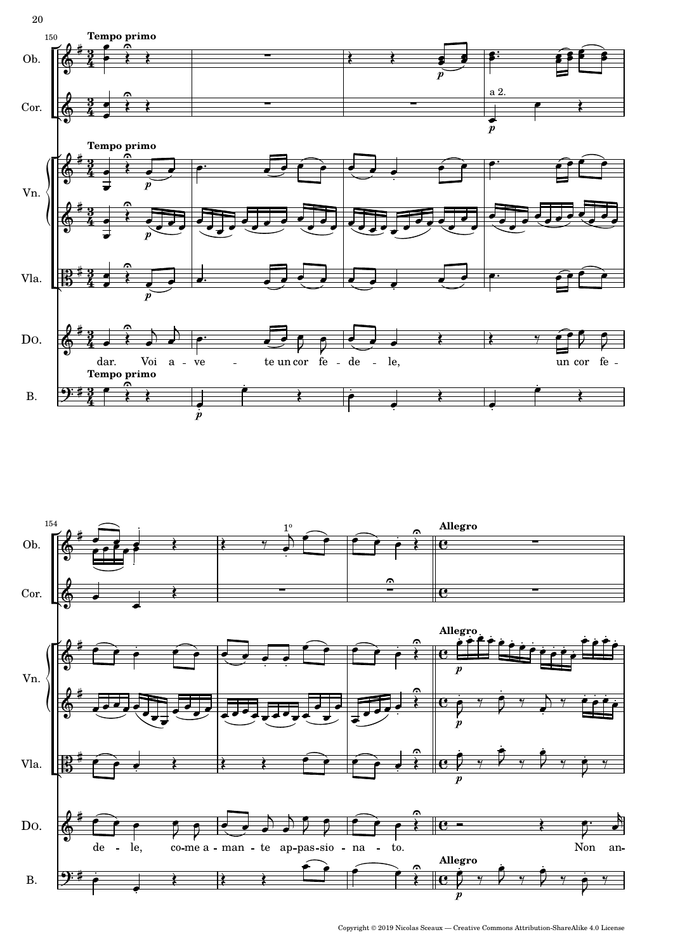

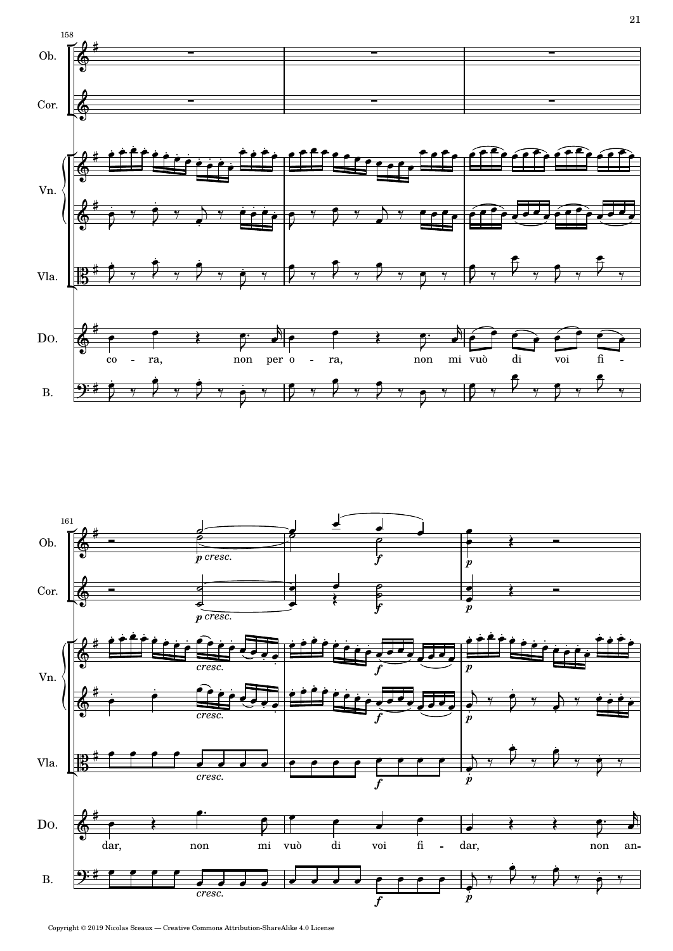

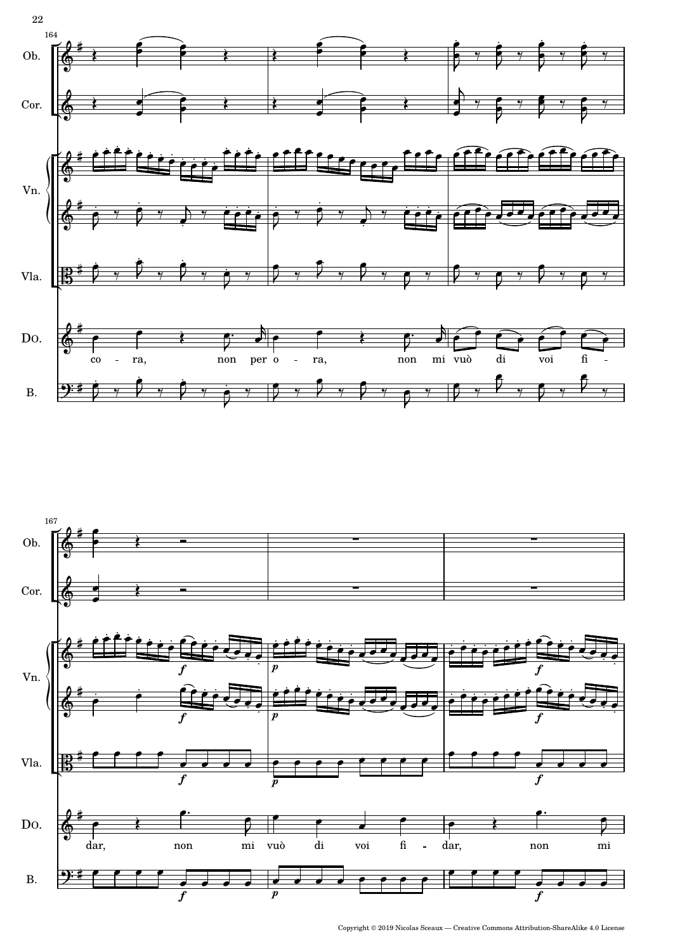